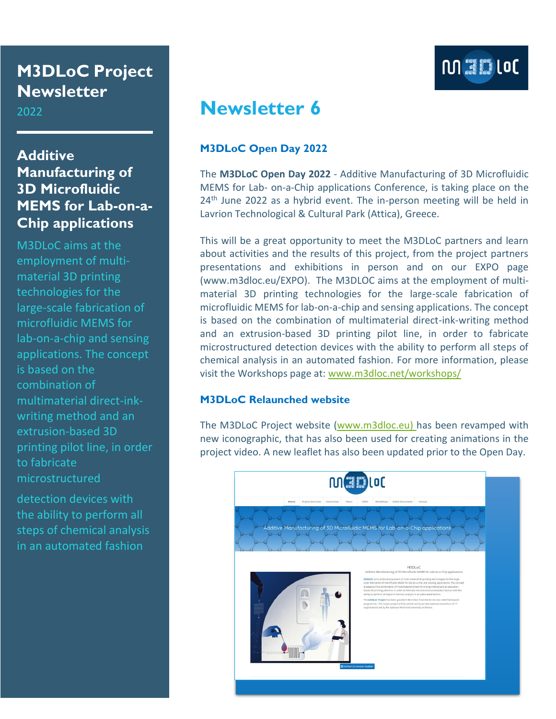# **M3DLoC Project Newsletter**

2022

### **Additive Manufacturing of 3D Microfluidic MEMS for Lab-on-a-Chip applications**

M3DLoC aims at the employment of multimaterial 3D printing technologies for the large-scale fabrication of microfluidic MEMS for lab-on-a-chip and sensing applications. The concept is based on the combination of multimaterial direct-inkwriting method and an extrusion-based 3D printing pilot line, in order to fabricate microstructured

detection devices with the ability to perform all steps of chemical analysis in an automated fashion



# **Newsletter 6**

### **M3DLoC Open Day 2022**

The **M3DLoC Open Day 2022** - Additive Manufacturing of 3D Microfluidic MEMS for Lab- on-a-Chip applications Conference, is taking place on the  $24<sup>th</sup>$  June 2022 as a hybrid event. The in-person meeting will be held in Lavrion Technological & Cultural Park (Attica), Greece.

This will be a great opportunity to meet the M3DLoC partners and learn about activities and the results of this project, from the project partners presentations and exhibitions in person and on our EXPO page (www.m3dloc.eu/EXPO). The M3DLOC aims at the employment of multimaterial 3D printing technologies for the large-scale fabrication of microfluidic MEMS for lab-on-a-chip and sensing applications. The concept is based on the combination of multimaterial direct-ink-writing method and an extrusion-based 3D printing pilot line, in order to fabricate microstructured detection devices with the ability to perform all steps of chemical analysis in an automated fashion. For more information, please visit the Workshops page at: [www.m3dloc.net/workshops/](http://www.m3dloc.net/workshops/)

### **M3DLoC Relaunched website**

The M3DLoC Project website [\(www.m3dloc.eu\)](http://www.m3dloc.eu/) has been revamped with new iconographic, that has also been used for creating animations in the project video. A new leaflet has also been updated prior to the Open Day.

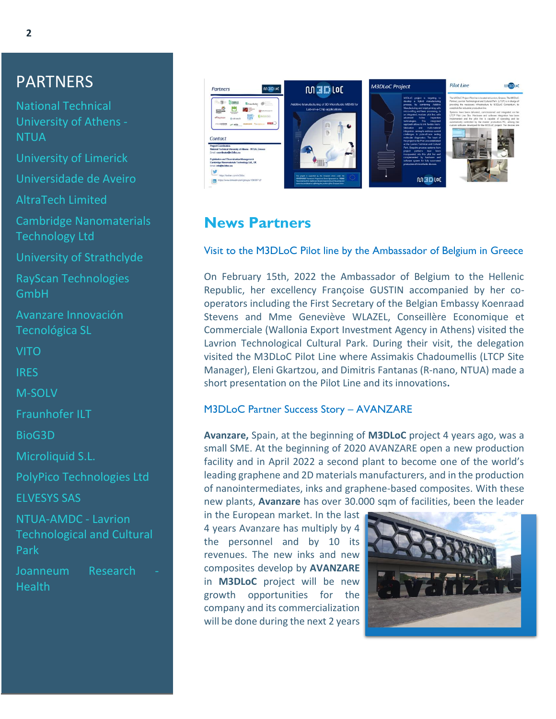## PARTNERS

National Technical University of Athens - **NTUA** 

University of Limerick

Universidade de Aveiro

AltraTech Limited

Cambridge Nanomaterials Technology Ltd

University of Strathclyde

RayScan Technologies GmbH

Avanzare Innovación Tecnológica SL

VITO

IRES

M-SOLV

Fraunhofer ILT

BioG3D

Microliquid S.L.

PolyPico Technologies Ltd

ELVESYS SAS

NTUA-AMDC - Lavrion Technological and Cultural Park

Joanneum Research **Health** 



### **News Partners**

#### Visit to the M3DLoC Pilot line by the Ambassador of Belgium in Greece

On February 15th, 2022 the Ambassador of Belgium to the Hellenic Republic, her excellency Françoise GUSTIN accompanied by her cooperators including the First Secretary of the Belgian Embassy Koenraad Stevens and Mme Geneviève WLAZEL, Conseillère Economique et Commerciale (Wallonia Export Investment Agency in Athens) visited the Lavrion Technological Cultural Park. During their visit, the delegation visited the M3DLoC Pilot Line where Assimakis Chadoumellis (LTCP Site Manager), Eleni Gkartzou, and Dimitris Fantanas (R-nano, NTUA) made a short presentation on the Pilot Line and its innovations**.**

#### M3DLoC Partner Success Story – AVANZARE

**Avanzare,** Spain, at the beginning of **M3DLoC** project 4 years ago, was a small SME. At the beginning of 2020 AVANZARE open a new production facility and in April 2022 a second plant to become one of the world's leading graphene and 2D materials manufacturers, and in the production of nanointermediates, inks and graphene-based composites. With these new plants, **Avanzare** has over 30.000 sqm of facilities, been the leader

in the European market. In the last 4 years Avanzare has multiply by 4 the personnel and by 10 its revenues. The new inks and new composites develop by **AVANZARE** in **M3DLoC** project will be new growth opportunities for the company and its commercialization will be done during the next 2 years

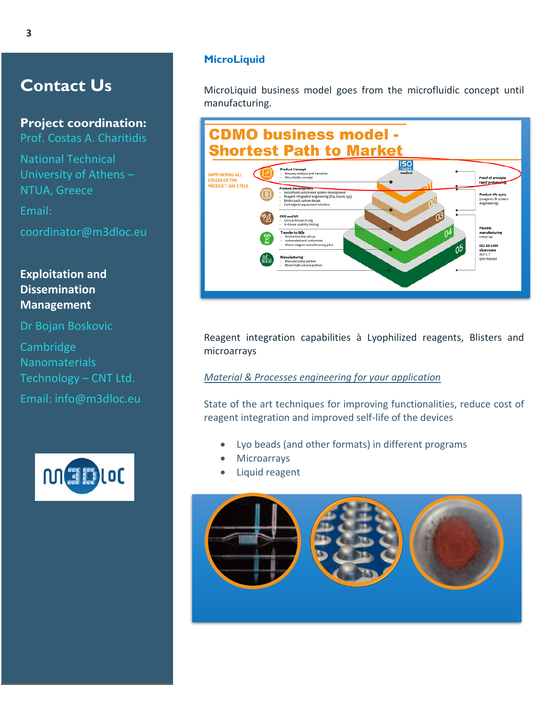### **Contact Us**

**Project coordination:** Prof. Costas A. Charitidis

National Technical University of Athens – NTUA, Greece

Email:

coordinator@m3dloc.eu

### **Exploitation and Dissemination Management**

Dr Bojan Boskovic

Cambridge Nanomaterials Technology – CNT Ltd. Email: info@m3dloc.eu



#### **MicroLiquid**

MicroLiquid business model goes from the microfluidic concept until manufacturing.



Reagent integration capabilities à Lyophilized reagents, Blisters and microarrays

*Material & Processes engineering for your application* 

State of the art techniques for improving functionalities, reduce cost of reagent integration and improved self-life of the devices

- Lyo beads (and other formats) in different programs
- **Microarrays**
- Liquid reagent

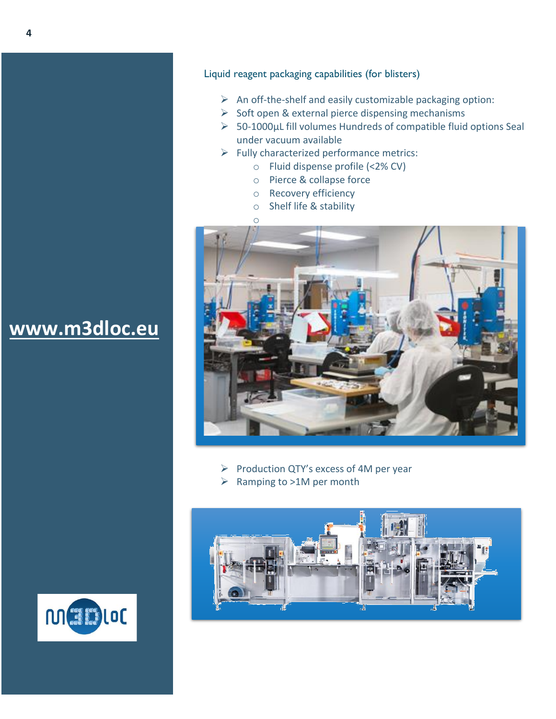- $\triangleright$  An off-the-shelf and easily customizable packaging option:
- $\triangleright$  Soft open & external pierce dispensing mechanisms
- ➢ 50-1000µL fill volumes Hundreds of compatible fluid options Seal under vacuum available
- $\triangleright$  Fully characterized performance metrics:
	- o Fluid dispense profile (<2% CV)
	- o Pierce & collapse force
	- o Recovery efficiency
	- o Shelf life & stability
	- o



- ➢ Production QTY's excess of 4M per year
- ➢ Ramping to >1M per month



# **[www.m3dloc.eu](http://www.m3dloc.eu/)**